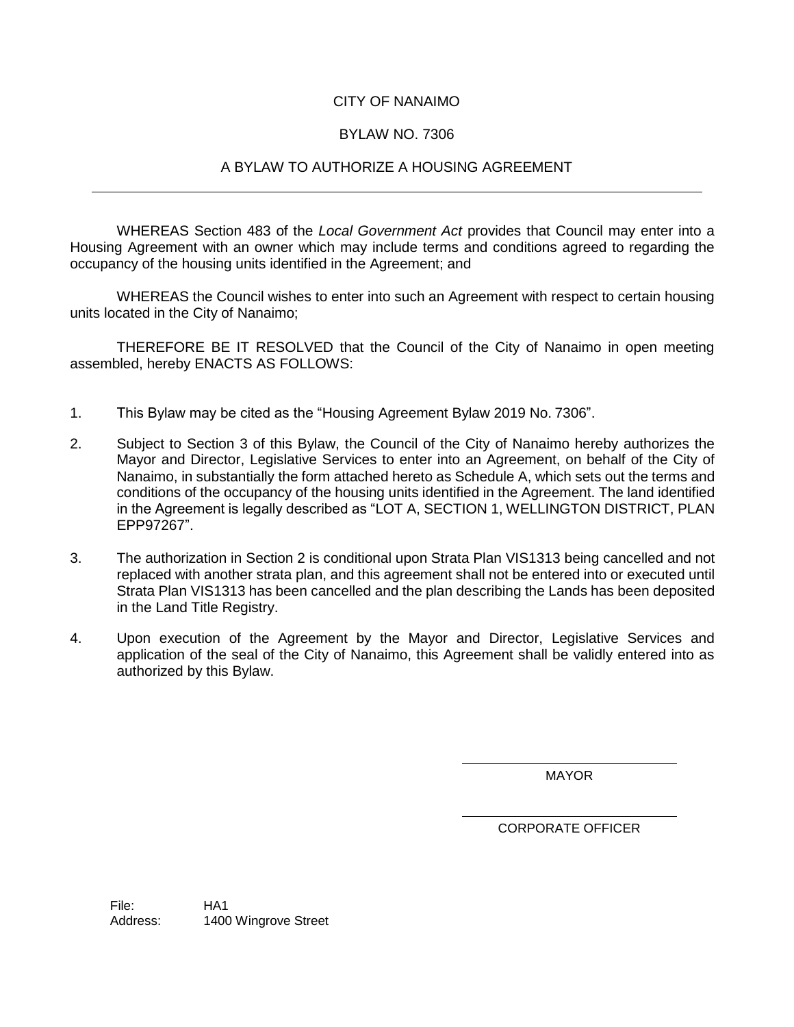# CITY OF NANAIMO

# BYLAW NO. 7306

## A BYLAW TO AUTHORIZE A HOUSING AGREEMENT

WHEREAS Section 483 of the *Local Government Act* provides that Council may enter into a Housing Agreement with an owner which may include terms and conditions agreed to regarding the occupancy of the housing units identified in the Agreement; and

WHEREAS the Council wishes to enter into such an Agreement with respect to certain housing units located in the City of Nanaimo;

THEREFORE BE IT RESOLVED that the Council of the City of Nanaimo in open meeting assembled, hereby ENACTS AS FOLLOWS:

- 1. This Bylaw may be cited as the "Housing Agreement Bylaw 2019 No. 7306".
- 2. Subject to Section 3 of this Bylaw, the Council of the City of Nanaimo hereby authorizes the Mayor and Director, Legislative Services to enter into an Agreement, on behalf of the City of Nanaimo, in substantially the form attached hereto as Schedule A, which sets out the terms and conditions of the occupancy of the housing units identified in the Agreement. The land identified in the Agreement is legally described as "LOT A, SECTION 1, WELLINGTON DISTRICT, PLAN EPP97267".
- 3. The authorization in Section 2 is conditional upon Strata Plan VIS1313 being cancelled and not replaced with another strata plan, and this agreement shall not be entered into or executed until Strata Plan VIS1313 has been cancelled and the plan describing the Lands has been deposited in the Land Title Registry.
- 4. Upon execution of the Agreement by the Mayor and Director, Legislative Services and application of the seal of the City of Nanaimo, this Agreement shall be validly entered into as authorized by this Bylaw.

MAYOR

CORPORATE OFFICER

File: HA1 Address: 1400 Wingrove Street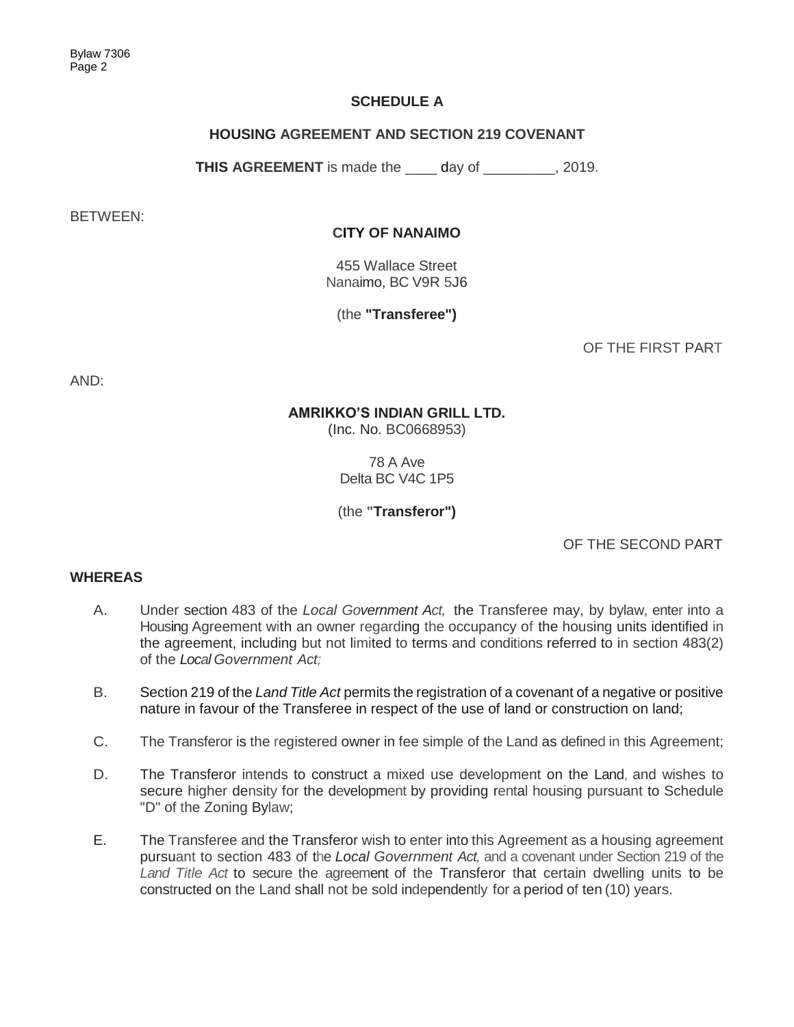# **SCHEDULE A**

# **HOUSING AGREEMENT AND SECTION 219 COVENANT**

**THIS AGREEMENT** is made the \_\_\_\_ day of \_\_\_\_\_\_\_\_\_, 2019.

BETWEEN:

## **CITY OF NANAIMO**

455 Wallace Street Nanaimo, BC V9R 5J6

(the **"Transferee")**

OF THE FIRST PART

AND:

## **AMRIKKO'S INDIAN GRILL LTD.**

(Inc. No. BC0668953)

78 A Ave Delta BC V4C 1P5

(the **"Transferor")**

OF THE SECOND PART

## **WHEREAS**

- A. Under section 483 of the *Local Government Act,* the Transferee may, by bylaw, enter into a Housing Agreement with an owner regarding the occupancy of the housing units identified in the agreement, including but not limited to terms and conditions referred to in section 483(2) of the *Local Government Act;*
- B. Section 219 of the *Land Title Act* permits the registration of a covenant of a negative or positive nature in favour of the Transferee in respect of the use of land or construction on land;
- C. The Transferor is the registered owner in fee simple of the Land as defined in this Agreement;
- D. The Transferor intends to construct a mixed use development on the Land, and wishes to secure higher density for the development by providing rental housing pursuant to Schedule "D" of the Zoning Bylaw;
- E. The Transferee and the Transferor wish to enter into this Agreement as a housing agreement pursuant to section 483 of the *Local Government Act,* and a covenant under Section 219 of the *Land Title Act* to secure the agreement of the Transferor that certain dwelling units to be constructed on the Land shall not be sold independently for a period of ten (10) years.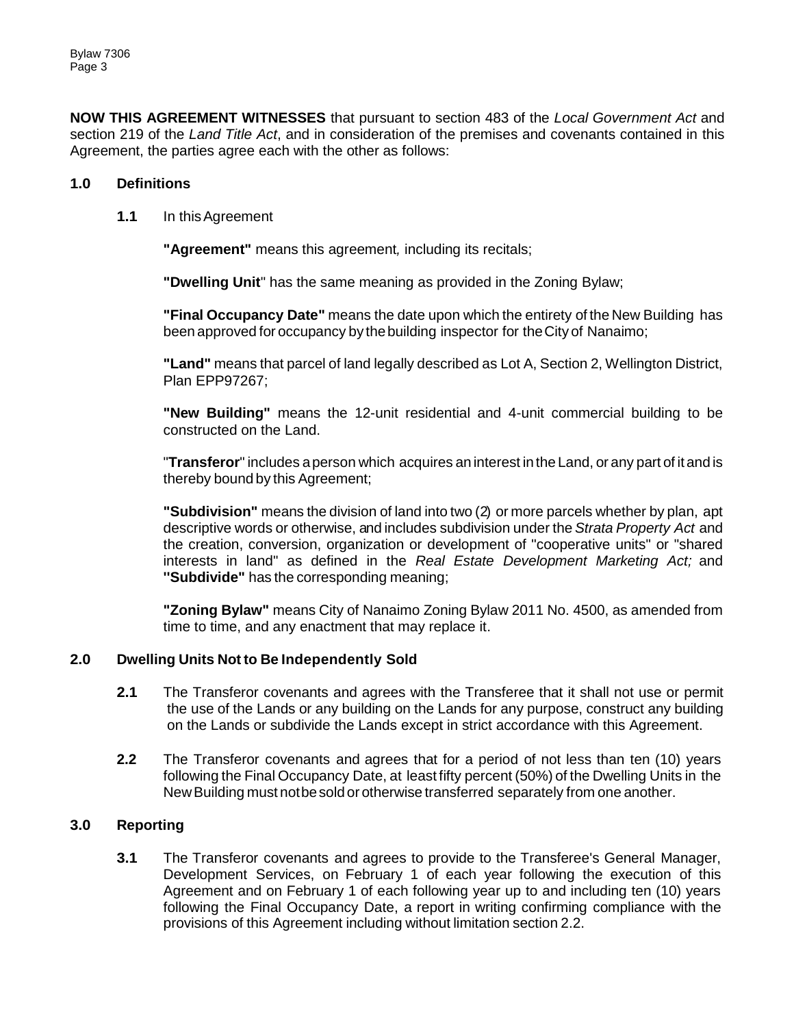**NOW THIS AGREEMENT WITNESSES** that pursuant to section 483 of the *Local Government Act* and section 219 of the *Land Title Act*, and in consideration of the premises and covenants contained in this Agreement, the parties agree each with the other as follows:

## **1.0 Definitions**

**1.1** In thisAgreement

**"Agreement"** means this agreement*,* including its recitals;

**"Dwelling Unit**" has the same meaning as provided in the Zoning Bylaw;

**"Final Occupancy Date"** means the date upon which the entirety of the New Building has been approved for occupancy by thebuilding inspector for theCity of Nanaimo;

**"Land"** means that parcel of land legally described as Lot A, Section 2, Wellington District, Plan EPP97267;

**"New Building"** means the 12-unit residential and 4-unit commercial building to be constructed on the Land.

"**Transferor**" includes aperson which acquires an interest in the Land, or any part of it and is thereby bound by this Agreement;

**"Subdivision"** means the division of land into two (2) or more parcels whether by plan, apt descriptive words or otherwise, and includes subdivision under the *Strata Property Act* and the creation, conversion, organization or development of "cooperative units" or "shared interests in land" as defined in the *Real Estate Development Marketing Act;* and **''Subdivide"** has the corresponding meaning;

**"Zoning Bylaw"** means City of Nanaimo Zoning Bylaw 2011 No. 4500, as amended from time to time, and any enactment that may replace it.

## **2.0 Dwelling Units Not to Be Independently Sold**

- **2.1** The Transferor covenants and agrees with the Transferee that it shall not use or permit the use of the Lands or any building on the Lands for any purpose, construct any building on the Lands or subdivide the Lands except in strict accordance with this Agreement.
- **2.2** The Transferor covenants and agrees that for a period of not less than ten (10) years following the Final Occupancy Date, at least fifty percent (50%) of the Dwelling Units in the NewBuilding must notbesold or otherwise transferred separately from one another.

## **3.0 Reporting**

**3.1** The Transferor covenants and agrees to provide to the Transferee's General Manager, Development Services, on February 1 of each year following the execution of this Agreement and on February 1 of each following year up to and including ten (10) years following the Final Occupancy Date, a report in writing confirming compliance with the provisions of this Agreement including without limitation section 2.2.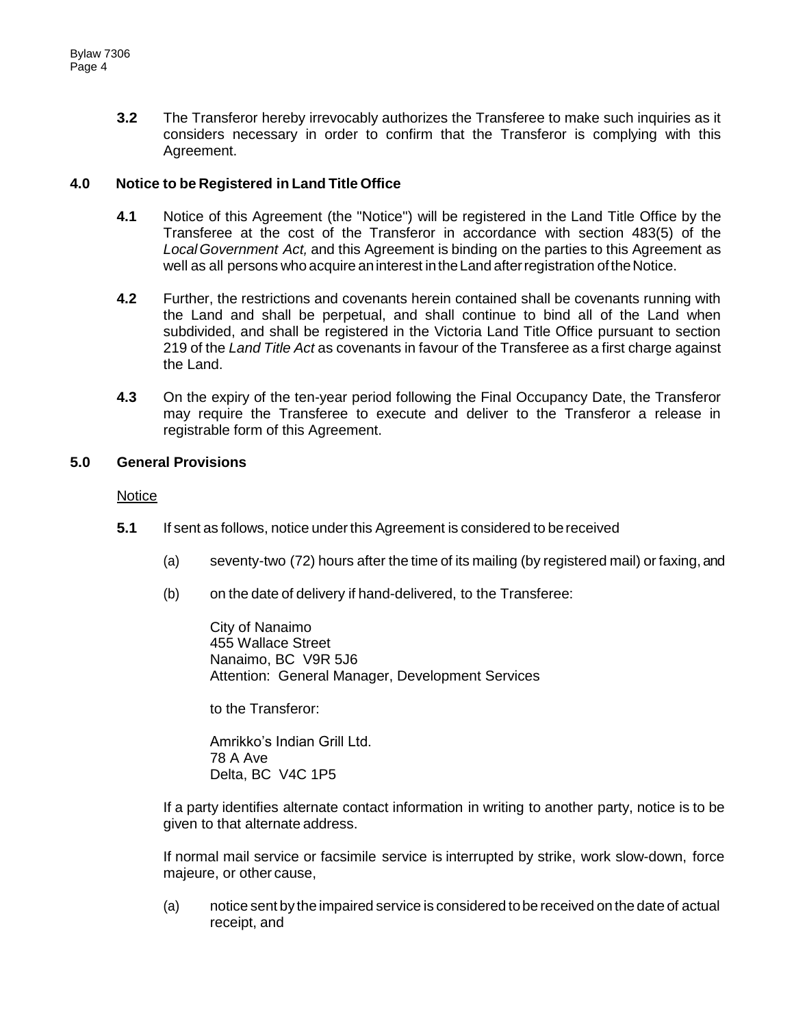**3.2** The Transferor hereby irrevocably authorizes the Transferee to make such inquiries as it considers necessary in order to confirm that the Transferor is complying with this Agreement.

## **4.0 Notice to be Registered in Land Title Office**

- **4.1** Notice of this Agreement (the "Notice'') will be registered in the Land Title Office by the Transferee at the cost of the Transferor in accordance with section 483(5) of the *LocalGovernment Act,* and this Agreement is binding on the parties to this Agreement as well as all persons who acquire aninterest intheLand afterregistration oftheNotice.
- **4.2** Further, the restrictions and covenants herein contained shall be covenants running with the Land and shall be perpetual, and shall continue to bind all of the Land when subdivided, and shall be registered in the Victoria Land Title Office pursuant to section 219 of the *Land Title Act* as covenants in favour of the Transferee as a first charge against the Land.
- **4.3** On the expiry of the ten-year period following the Final Occupancy Date, the Transferor may require the Transferee to execute and deliver to the Transferor a release in registrable form of this Agreement.

## **5.0 General Provisions**

#### Notice

- **5.1** If sent as follows, notice under this Agreement is considered to be received
	- (a) seventy-two (72) hours after the time of its mailing (by registered mail) or faxing, and
	- (b) on the date of delivery if hand-delivered, to the Transferee:

City of Nanaimo 455 Wallace Street Nanaimo, BC V9R 5J6 Attention: General Manager, Development Services

to the Transferor:

Amrikko's Indian Grill Ltd. 78 A Ave Delta, BC V4C 1P5

If a party identifies alternate contact information in writing to another party, notice is to be given to that alternate address.

If normal mail service or facsimile service is interrupted by strike, work slow-down, force majeure, or other cause,

(a) notice sent by the impaired service is considered tobe received on the date of actual receipt, and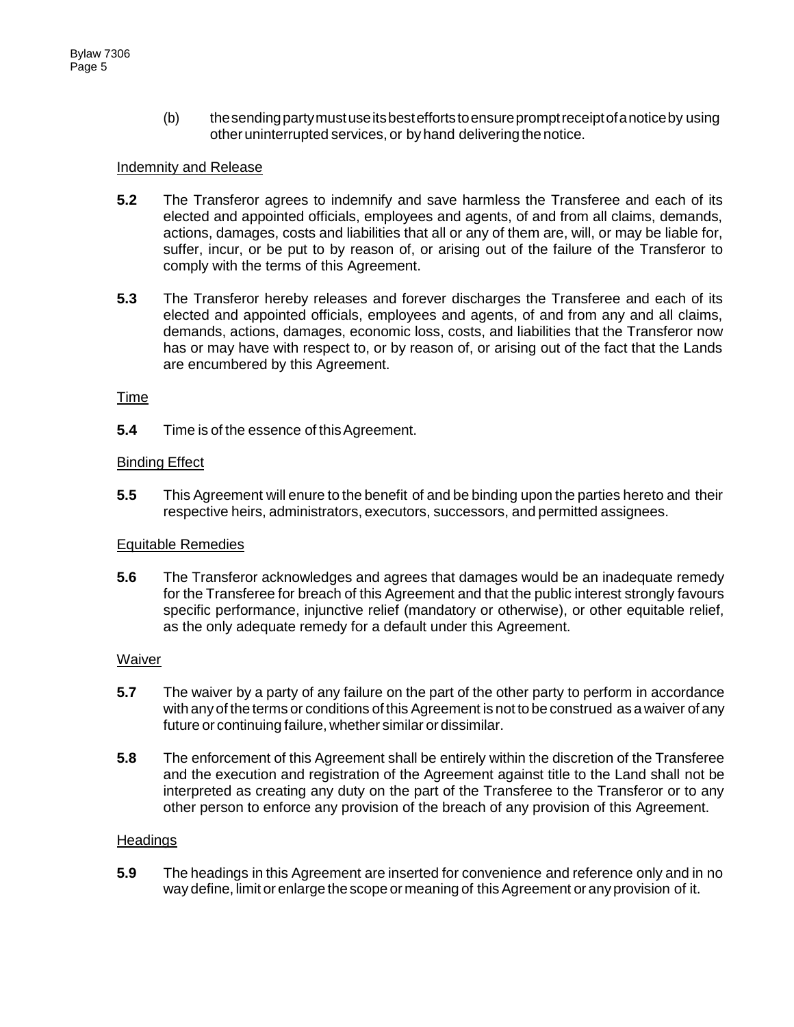(b) thesendingpartymustuseitsbesteffortstoensurepromptreceiptofanoticeby using other uninterrupted services, or by hand delivering the notice.

## Indemnity and Release

- **5.2** The Transferor agrees to indemnify and save harmless the Transferee and each of its elected and appointed officials, employees and agents, of and from all claims, demands, actions, damages, costs and liabilities that all or any of them are, will, or may be liable for, suffer, incur, or be put to by reason of, or arising out of the failure of the Transferor to comply with the terms of this Agreement.
- **5.3** The Transferor hereby releases and forever discharges the Transferee and each of its elected and appointed officials, employees and agents, of and from any and all claims, demands, actions, damages, economic loss, costs, and liabilities that the Transferor now has or may have with respect to, or by reason of, or arising out of the fact that the Lands are encumbered by this Agreement.

## Time

**5.4** Time is of the essence of this Agreement.

## **Binding Effect**

**5.5** This Agreement will enure to the benefit of and be binding upon the parties hereto and their respective heirs, administrators, executors, successors, and permitted assignees.

#### Equitable Remedies

**5.6** The Transferor acknowledges and agrees that damages would be an inadequate remedy for the Transferee for breach of this Agreement and that the public interest strongly favours specific performance, injunctive relief (mandatory or otherwise), or other equitable relief, as the only adequate remedy for a default under this Agreement.

#### Waiver

- **5.7** The waiver by a party of any failure on the part of the other party to perform in accordance with any of the terms or conditions of this Agreement is not to be construed as a waiver of any future or continuing failure, whether similar ordissimilar.
- **5.8** The enforcement of this Agreement shall be entirely within the discretion of the Transferee and the execution and registration of the Agreement against title to the Land shall not be interpreted as creating any duty on the part of the Transferee to the Transferor or to any other person to enforce any provision of the breach of any provision of this Agreement.

#### **Headings**

**5.9** The headings in this Agreement are inserted for convenience and reference only and in no way define, limit or enlarge the scope or meaning of this Agreement or any provision of it.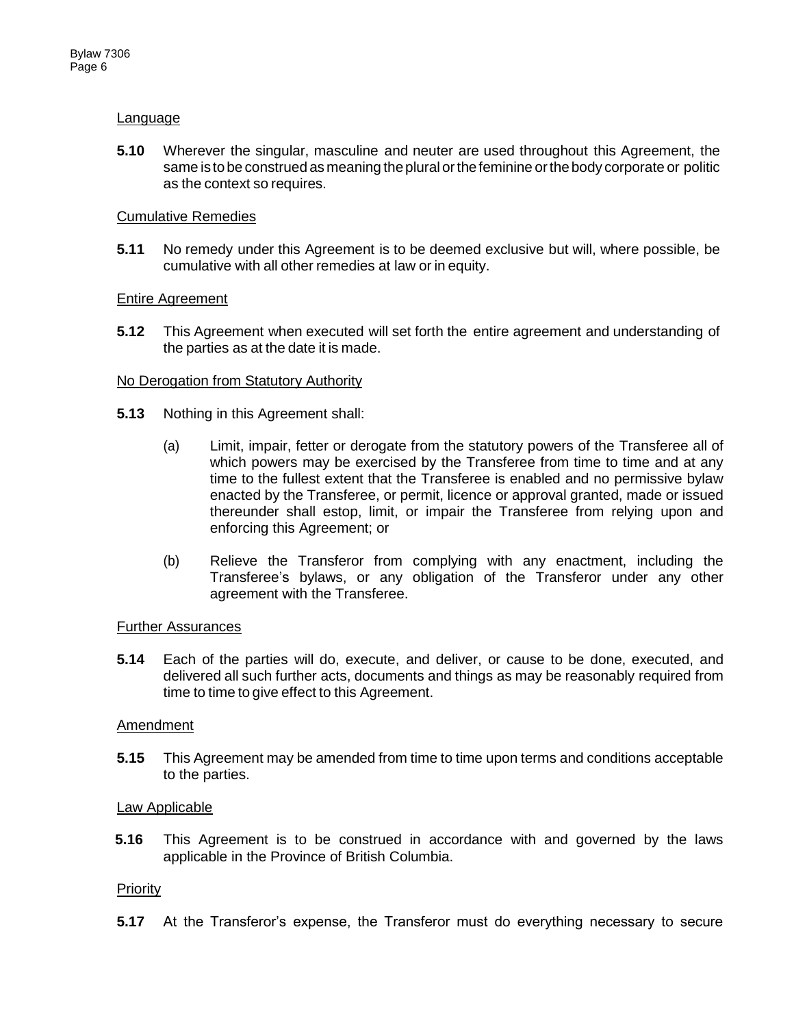## Language

**5.10** Wherever the singular, masculine and neuter are used throughout this Agreement, the same is to be construed as meaning the plural or the feminine or the body corporate or politic as the context so requires.

#### Cumulative Remedies

**5.11** No remedy under this Agreement is to be deemed exclusive but will, where possible, be cumulative with all other remedies at law or in equity.

## Entire Agreement

**5.12** This Agreement when executed will set forth the entire agreement and understanding of the parties as at the date it is made.

## No Derogation from Statutory Authority

- **5.13** Nothing in this Agreement shall:
	- (a) Limit, impair, fetter or derogate from the statutory powers of the Transferee all of which powers may be exercised by the Transferee from time to time and at any time to the fullest extent that the Transferee is enabled and no permissive bylaw enacted by the Transferee, or permit, licence or approval granted, made or issued thereunder shall estop, limit, or impair the Transferee from relying upon and enforcing this Agreement; or
	- (b) Relieve the Transferor from complying with any enactment, including the Transferee's bylaws, or any obligation of the Transferor under any other agreement with the Transferee.

#### **Further Assurances**

**5.14** Each of the parties will do, execute, and deliver, or cause to be done, executed, and delivered all such further acts, documents and things as may be reasonably required from time to time to give effect to this Agreement.

#### Amendment

**5.15** This Agreement may be amended from time to time upon terms and conditions acceptable to the parties.

#### Law Applicable

**5.16** This Agreement is to be construed in accordance with and governed by the laws applicable in the Province of British Columbia.

#### **Priority**

**5.17** At the Transferor's expense, the Transferor must do everything necessary to secure